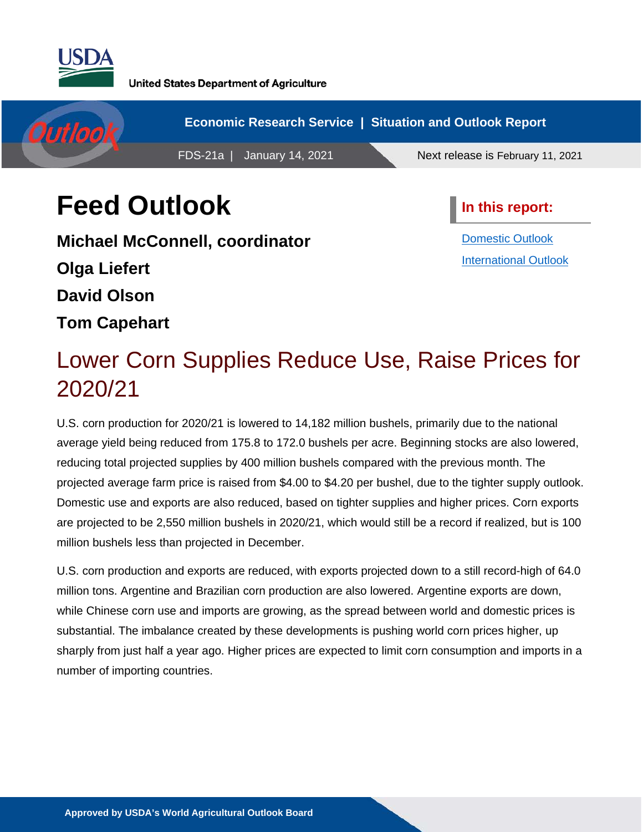

**United States Department of Agriculture** 



# **Feed Outlook**

**Michael McConnell, coordinator Olga Liefert David Olson Tom Capehart** 

**In this report:**

[Domestic Outlook](#page-1-0) [International Outlook](#page-9-0)

# Lower Corn Supplies Reduce Use, Raise Prices for 2020/21

U.S. corn production for 2020/21 is lowered to 14,182 million bushels, primarily due to the national average yield being reduced from 175.8 to 172.0 bushels per acre. Beginning stocks are also lowered, reducing total projected supplies by 400 million bushels compared with the previous month. The projected average farm price is raised from \$4.00 to \$4.20 per bushel, due to the tighter supply outlook. Domestic use and exports are also reduced, based on tighter supplies and higher prices. Corn exports are projected to be 2,550 million bushels in 2020/21, which would still be a record if realized, but is 100 million bushels less than projected in December.

U.S. corn production and exports are reduced, with exports projected down to a still record-high of 64.0 million tons. Argentine and Brazilian corn production are also lowered. Argentine exports are down, while Chinese corn use and imports are growing, as the spread between world and domestic prices is substantial. The imbalance created by these developments is pushing world corn prices higher, up sharply from just half a year ago. Higher prices are expected to limit corn consumption and imports in a number of importing countries.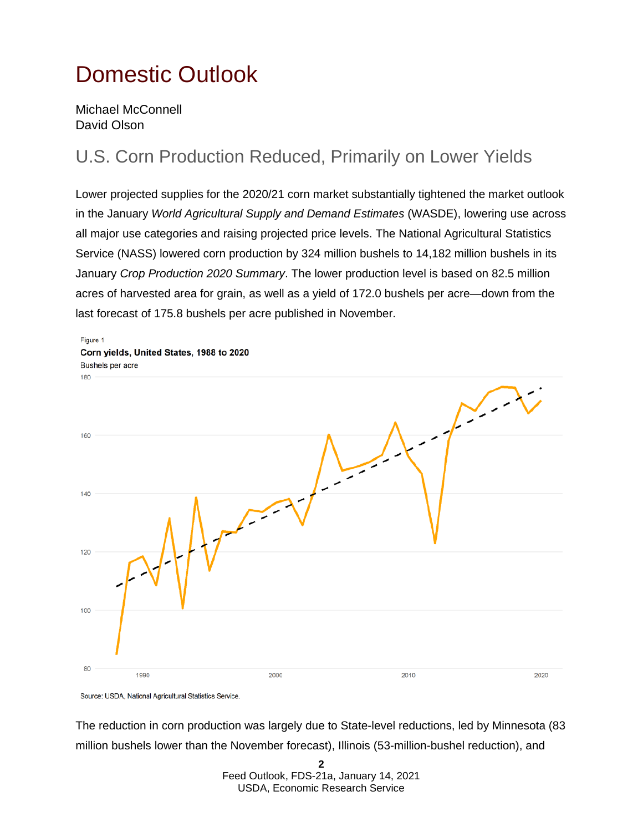# <span id="page-1-0"></span>Domestic Outlook

Michael McConnell David Olson

## U.S. Corn Production Reduced, Primarily on Lower Yields

Lower projected supplies for the 2020/21 corn market substantially tightened the market outlook in the January *World Agricultural Supply and Demand Estimates* (WASDE), lowering use across all major use categories and raising projected price levels. The National Agricultural Statistics Service (NASS) lowered corn production by 324 million bushels to 14,182 million bushels in its January *Crop Production 2020 Summary*. The lower production level is based on 82.5 million acres of harvested area for grain, as well as a yield of 172.0 bushels per acre—down from the last forecast of 175.8 bushels per acre published in November.



Source: USDA, National Agricultural Statistics Service.

The reduction in corn production was largely due to State-level reductions, led by Minnesota (83 million bushels lower than the November forecast), Illinois (53-million-bushel reduction), and

> **2**  Feed Outlook, FDS-21a, January 14, 2021 USDA, Economic Research Service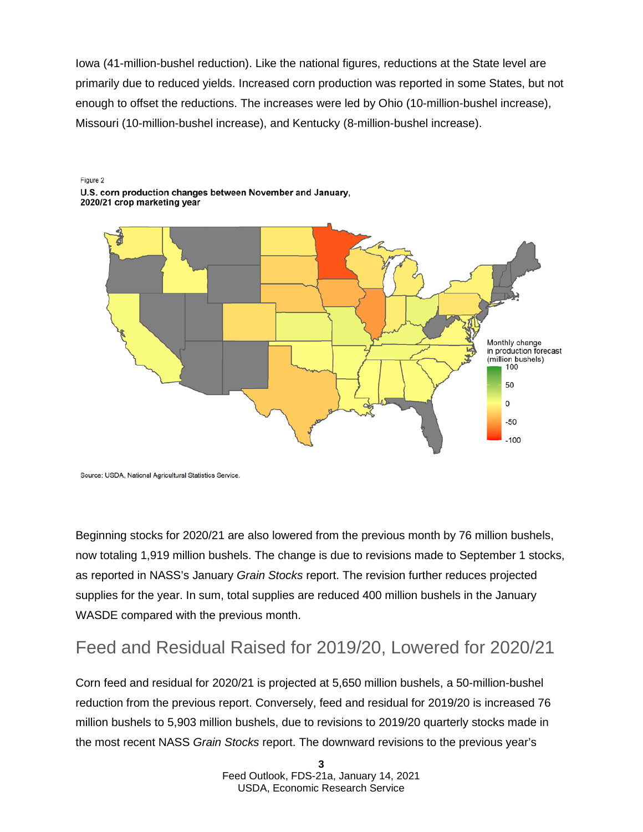Iowa (41-million-bushel reduction). Like the national figures, reductions at the State level are primarily due to reduced yields. Increased corn production was reported in some States, but not enough to offset the reductions. The increases were led by Ohio (10-million-bushel increase), Missouri (10-million-bushel increase), and Kentucky (8-million-bushel increase).

#### Figure 2 U.S. corn production changes between November and January. 2020/21 crop marketing year



Source: USDA, National Agricultural Statistics Service.

Beginning stocks for 2020/21 are also lowered from the previous month by 76 million bushels, now totaling 1,919 million bushels. The change is due to revisions made to September 1 stocks, as reported in NASS's January *Grain Stocks* report. The revision further reduces projected supplies for the year. In sum, total supplies are reduced 400 million bushels in the January WASDE compared with the previous month.

## Feed and Residual Raised for 2019/20, Lowered for 2020/21

Corn feed and residual for 2020/21 is projected at 5,650 million bushels, a 50-million-bushel reduction from the previous report. Conversely, feed and residual for 2019/20 is increased 76 million bushels to 5,903 million bushels, due to revisions to 2019/20 quarterly stocks made in the most recent NASS *Grain Stocks* report. The downward revisions to the previous year's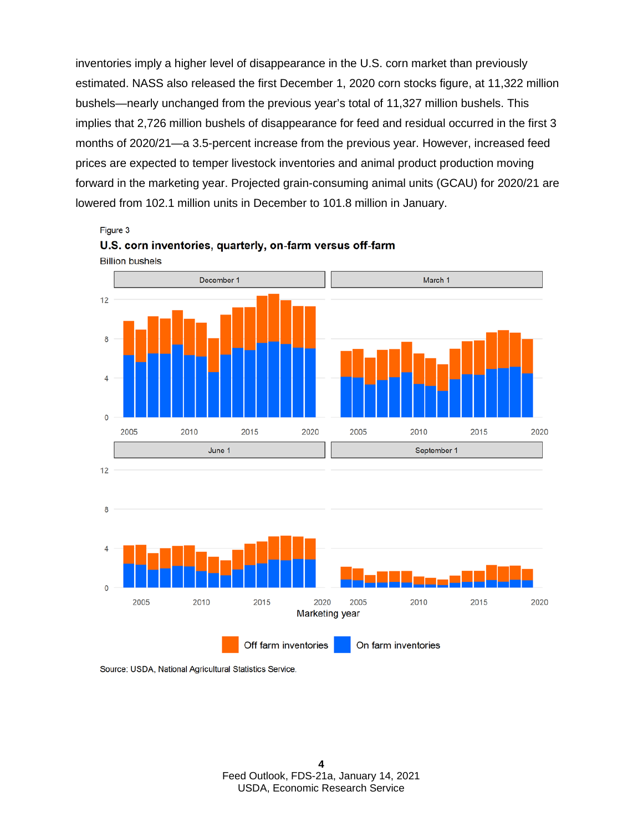inventories imply a higher level of disappearance in the U.S. corn market than previously estimated. NASS also released the first December 1, 2020 corn stocks figure, at 11,322 million bushels—nearly unchanged from the previous year's total of 11,327 million bushels. This implies that 2,726 million bushels of disappearance for feed and residual occurred in the first 3 months of 2020/21—a 3.5-percent increase from the previous year. However, increased feed prices are expected to temper livestock inventories and animal product production moving forward in the marketing year. Projected grain-consuming animal units (GCAU) for 2020/21 are lowered from 102.1 million units in December to 101.8 million in January.

Figure 3



U.S. corn inventories, quarterly, on-farm versus off-farm

Source: USDA, National Agricultural Statistics Service.

On farm inventories

Off farm inventories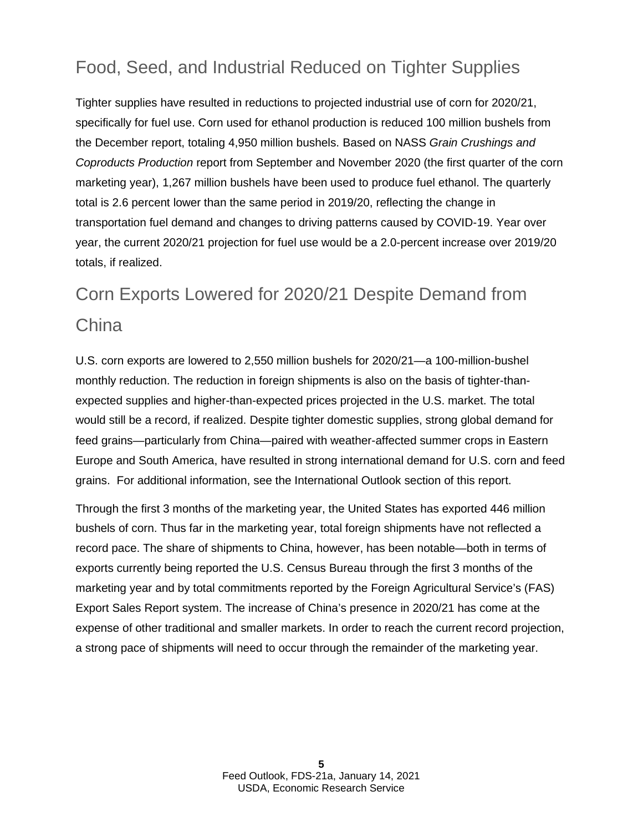## Food, Seed, and Industrial Reduced on Tighter Supplies

Tighter supplies have resulted in reductions to projected industrial use of corn for 2020/21, specifically for fuel use. Corn used for ethanol production is reduced 100 million bushels from the December report, totaling 4,950 million bushels. Based on NASS *Grain Crushings and Coproducts Production* report from September and November 2020 (the first quarter of the corn marketing year), 1,267 million bushels have been used to produce fuel ethanol. The quarterly total is 2.6 percent lower than the same period in 2019/20, reflecting the change in transportation fuel demand and changes to driving patterns caused by COVID-19. Year over year, the current 2020/21 projection for fuel use would be a 2.0-percent increase over 2019/20 totals, if realized.

## Corn Exports Lowered for 2020/21 Despite Demand from **China**

U.S. corn exports are lowered to 2,550 million bushels for 2020/21—a 100-million-bushel monthly reduction. The reduction in foreign shipments is also on the basis of tighter-thanexpected supplies and higher-than-expected prices projected in the U.S. market. The total would still be a record, if realized. Despite tighter domestic supplies, strong global demand for feed grains—particularly from China—paired with weather-affected summer crops in Eastern Europe and South America, have resulted in strong international demand for U.S. corn and feed grains. For additional information, see the International Outlook section of this report.

Through the first 3 months of the marketing year, the United States has exported 446 million bushels of corn. Thus far in the marketing year, total foreign shipments have not reflected a record pace. The share of shipments to China, however, has been notable—both in terms of exports currently being reported the U.S. Census Bureau through the first 3 months of the marketing year and by total commitments reported by the Foreign Agricultural Service's (FAS) Export Sales Report system. The increase of China's presence in 2020/21 has come at the expense of other traditional and smaller markets. In order to reach the current record projection, a strong pace of shipments will need to occur through the remainder of the marketing year.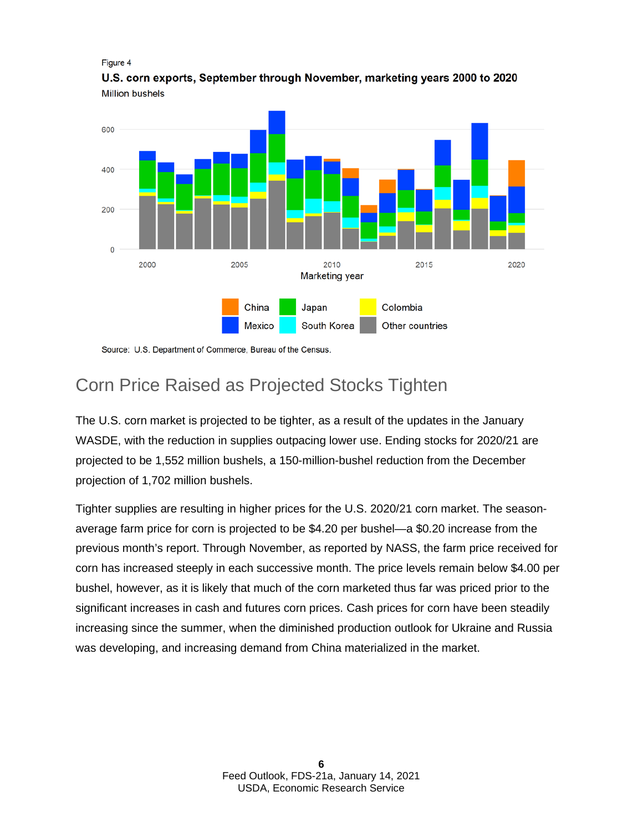Figure 4

U.S. corn exports, September through November, marketing years 2000 to 2020 **Million bushels** 



Source: U.S. Department of Commerce, Bureau of the Census.

## Corn Price Raised as Projected Stocks Tighten

The U.S. corn market is projected to be tighter, as a result of the updates in the January WASDE, with the reduction in supplies outpacing lower use. Ending stocks for 2020/21 are projected to be 1,552 million bushels, a 150-million-bushel reduction from the December projection of 1,702 million bushels.

Tighter supplies are resulting in higher prices for the U.S. 2020/21 corn market. The seasonaverage farm price for corn is projected to be \$4.20 per bushel—a \$0.20 increase from the previous month's report. Through November, as reported by NASS, the farm price received for corn has increased steeply in each successive month. The price levels remain below \$4.00 per bushel, however, as it is likely that much of the corn marketed thus far was priced prior to the significant increases in cash and futures corn prices. Cash prices for corn have been steadily increasing since the summer, when the diminished production outlook for Ukraine and Russia was developing, and increasing demand from China materialized in the market.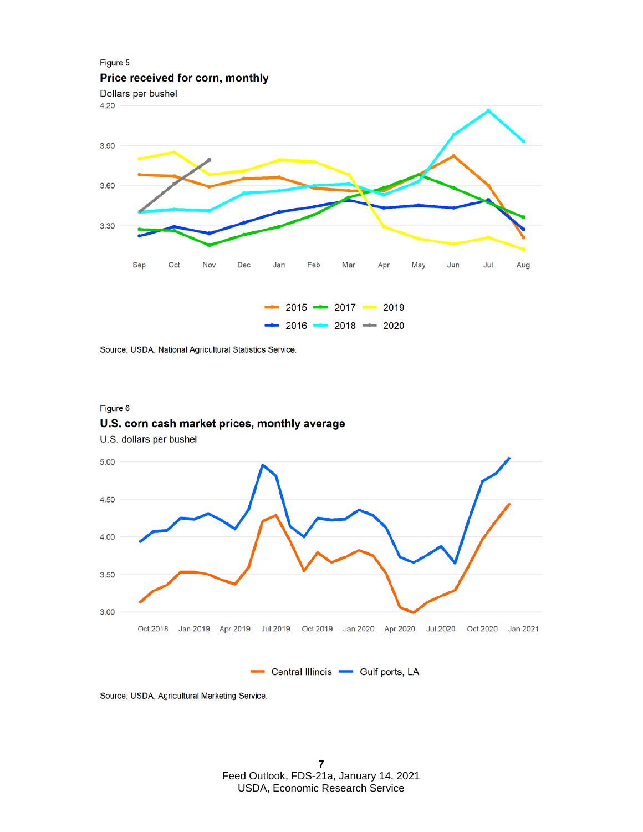

Source: USDA, National Agricultural Statistics Service.

#### Figure 6

### U.S. corn cash market prices, monthly average

U.S. dollars per bushel



Source: USDA, Agricultural Marketing Service.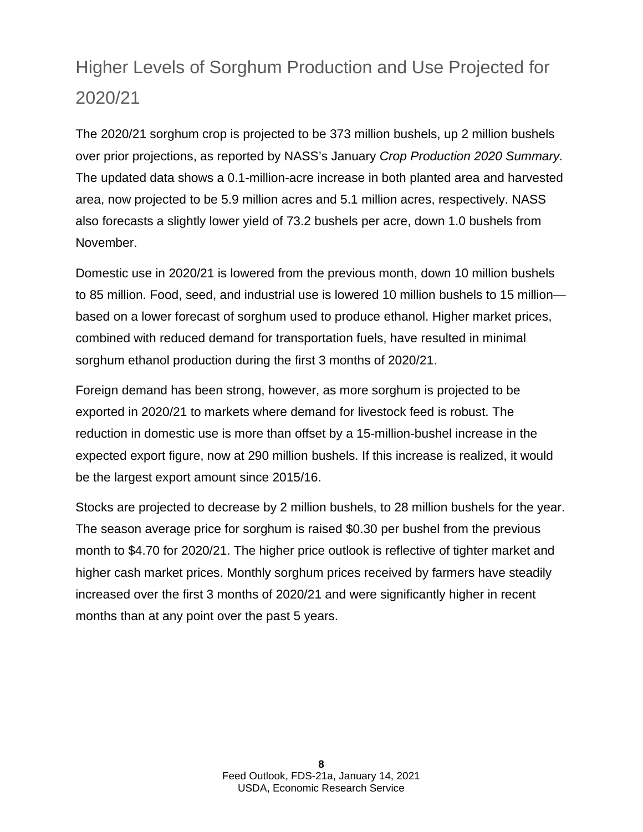## Higher Levels of Sorghum Production and Use Projected for 2020/21

The 2020/21 sorghum crop is projected to be 373 million bushels, up 2 million bushels over prior projections, as reported by NASS's January *Crop Production 2020 Summary.* The updated data shows a 0.1-million-acre increase in both planted area and harvested area, now projected to be 5.9 million acres and 5.1 million acres, respectively. NASS also forecasts a slightly lower yield of 73.2 bushels per acre, down 1.0 bushels from November.

Domestic use in 2020/21 is lowered from the previous month, down 10 million bushels to 85 million. Food, seed, and industrial use is lowered 10 million bushels to 15 million based on a lower forecast of sorghum used to produce ethanol. Higher market prices, combined with reduced demand for transportation fuels, have resulted in minimal sorghum ethanol production during the first 3 months of 2020/21.

Foreign demand has been strong, however, as more sorghum is projected to be exported in 2020/21 to markets where demand for livestock feed is robust. The reduction in domestic use is more than offset by a 15-million-bushel increase in the expected export figure, now at 290 million bushels. If this increase is realized, it would be the largest export amount since 2015/16.

Stocks are projected to decrease by 2 million bushels, to 28 million bushels for the year. The season average price for sorghum is raised \$0.30 per bushel from the previous month to \$4.70 for 2020/21. The higher price outlook is reflective of tighter market and higher cash market prices. Monthly sorghum prices received by farmers have steadily increased over the first 3 months of 2020/21 and were significantly higher in recent months than at any point over the past 5 years.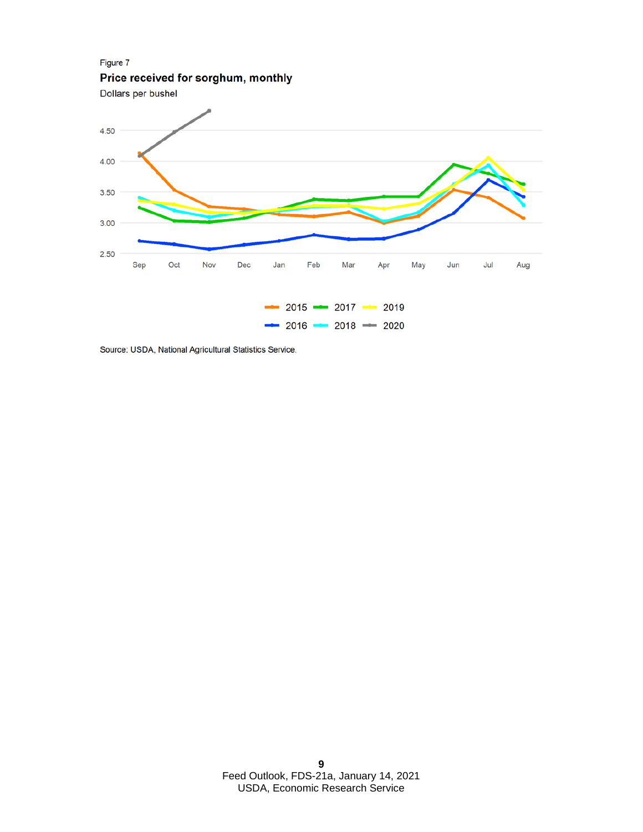Figure 7 Price received for sorghum, monthly



Source: USDA, National Agricultural Statistics Service.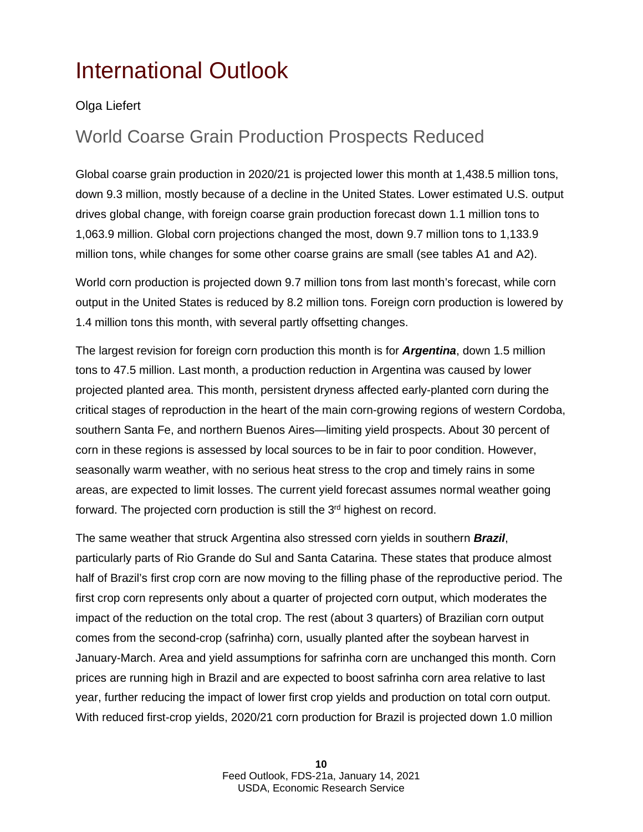# <span id="page-9-0"></span>International Outlook

### Olga Liefert

### World Coarse Grain Production Prospects Reduced

Global coarse grain production in 2020/21 is projected lower this month at 1,438.5 million tons, down 9.3 million, mostly because of a decline in the United States. Lower estimated U.S. output drives global change, with foreign coarse grain production forecast down 1.1 million tons to 1,063.9 million. Global corn projections changed the most, down 9.7 million tons to 1,133.9 million tons, while changes for some other coarse grains are small (see tables A1 and A2).

World corn production is projected down 9.7 million tons from last month's forecast, while corn output in the United States is reduced by 8.2 million tons. Foreign corn production is lowered by 1.4 million tons this month, with several partly offsetting changes.

The largest revision for foreign corn production this month is for *Argentina*, down 1.5 million tons to 47.5 million. Last month, a production reduction in Argentina was caused by lower projected planted area. This month, persistent dryness affected early-planted corn during the critical stages of reproduction in the heart of the main corn-growing regions of western Cordoba, southern Santa Fe, and northern Buenos Aires—limiting yield prospects. About 30 percent of corn in these regions is assessed by local sources to be in fair to poor condition. However, seasonally warm weather, with no serious heat stress to the crop and timely rains in some areas, are expected to limit losses. The current yield forecast assumes normal weather going forward. The projected corn production is still the 3<sup>rd</sup> highest on record.

The same weather that struck Argentina also stressed corn yields in southern *Brazil*, particularly parts of Rio Grande do Sul and Santa Catarina. These states that produce almost half of Brazil's first crop corn are now moving to the filling phase of the reproductive period. The first crop corn represents only about a quarter of projected corn output, which moderates the impact of the reduction on the total crop. The rest (about 3 quarters) of Brazilian corn output comes from the second-crop (safrinha) corn, usually planted after the soybean harvest in January-March. Area and yield assumptions for safrinha corn are unchanged this month. Corn prices are running high in Brazil and are expected to boost safrinha corn area relative to last year, further reducing the impact of lower first crop yields and production on total corn output. With reduced first-crop yields, 2020/21 corn production for Brazil is projected down 1.0 million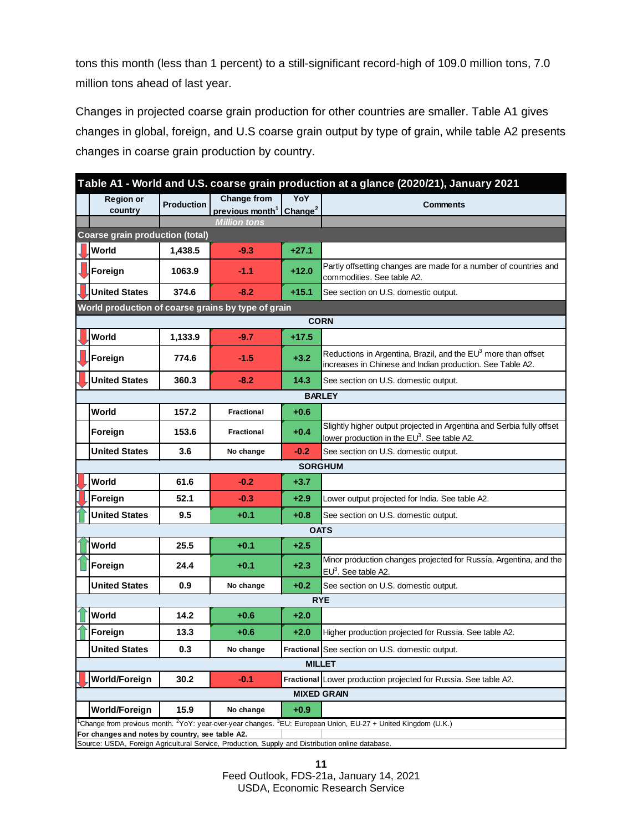tons this month (less than 1 percent) to a still-significant record-high of 109.0 million tons, 7.0 million tons ahead of last year.

Changes in projected coarse grain production for other countries are smaller. Table A1 gives changes in global, foreign, and U.S coarse grain output by type of grain, while table A2 presents changes in coarse grain production by country.

| Table A1 - World and U.S. coarse grain production at a glance (2020/21), January 2021                                                               |                                        |                   |                                                                        |         |                                                                                                                                        |  |  |  |  |  |
|-----------------------------------------------------------------------------------------------------------------------------------------------------|----------------------------------------|-------------------|------------------------------------------------------------------------|---------|----------------------------------------------------------------------------------------------------------------------------------------|--|--|--|--|--|
|                                                                                                                                                     | <b>Region or</b>                       | <b>Production</b> | <b>Change from</b>                                                     | YoY     | <b>Comments</b>                                                                                                                        |  |  |  |  |  |
|                                                                                                                                                     | country                                |                   | previous month <sup>1</sup> Change <sup>2</sup><br><b>Million tons</b> |         |                                                                                                                                        |  |  |  |  |  |
|                                                                                                                                                     | <b>Coarse grain production (total)</b> |                   |                                                                        |         |                                                                                                                                        |  |  |  |  |  |
|                                                                                                                                                     | World                                  | 1.438.5           | $-9.3$                                                                 | $+27.1$ |                                                                                                                                        |  |  |  |  |  |
|                                                                                                                                                     | Foreign                                | 1063.9            | $-1.1$                                                                 | $+12.0$ | Partly offsetting changes are made for a number of countries and<br>commodities. See table A2.                                         |  |  |  |  |  |
|                                                                                                                                                     | <b>United States</b>                   | 374.6             | $-8.2$                                                                 | $+15.1$ | See section on U.S. domestic output.                                                                                                   |  |  |  |  |  |
| World production of coarse grains by type of grain                                                                                                  |                                        |                   |                                                                        |         |                                                                                                                                        |  |  |  |  |  |
| <b>CORN</b>                                                                                                                                         |                                        |                   |                                                                        |         |                                                                                                                                        |  |  |  |  |  |
|                                                                                                                                                     | World                                  | 1,133.9           | $-9.7$                                                                 | $+17.5$ |                                                                                                                                        |  |  |  |  |  |
|                                                                                                                                                     | Foreign                                | 774.6             | $-1.5$                                                                 | $+3.2$  | Reductions in Argentina, Brazil, and the EU <sup>3</sup> more than offset<br>increases in Chinese and Indian production. See Table A2. |  |  |  |  |  |
|                                                                                                                                                     | <b>United States</b>                   | 360.3             | $-8.2$                                                                 | 14.3    | See section on U.S. domestic output.                                                                                                   |  |  |  |  |  |
| <b>BARLEY</b>                                                                                                                                       |                                        |                   |                                                                        |         |                                                                                                                                        |  |  |  |  |  |
|                                                                                                                                                     | World                                  | 157.2             | <b>Fractional</b>                                                      | $+0.6$  |                                                                                                                                        |  |  |  |  |  |
|                                                                                                                                                     | Foreign                                | 153.6             | <b>Fractional</b>                                                      | $+0.4$  | Slightly higher output projected in Argentina and Serbia fully offset<br>lower production in the EU <sup>3</sup> . See table A2.       |  |  |  |  |  |
|                                                                                                                                                     | <b>United States</b>                   | 3.6               | No change                                                              | $-0.2$  | See section on U.S. domestic output.                                                                                                   |  |  |  |  |  |
| <b>SORGHUM</b>                                                                                                                                      |                                        |                   |                                                                        |         |                                                                                                                                        |  |  |  |  |  |
|                                                                                                                                                     | World                                  | 61.6              | $-0.2$                                                                 | $+3.7$  |                                                                                                                                        |  |  |  |  |  |
|                                                                                                                                                     | Foreign                                | 52.1              | $-0.3$                                                                 | $+2.9$  | Lower output projected for India. See table A2.                                                                                        |  |  |  |  |  |
|                                                                                                                                                     | <b>United States</b>                   | 9.5               | $+0.1$                                                                 | $+0.8$  | See section on U.S. domestic output.                                                                                                   |  |  |  |  |  |
|                                                                                                                                                     | <b>OATS</b>                            |                   |                                                                        |         |                                                                                                                                        |  |  |  |  |  |
|                                                                                                                                                     | World                                  | 25.5              | $+0.1$                                                                 | $+2.5$  |                                                                                                                                        |  |  |  |  |  |
|                                                                                                                                                     | Foreign                                | 24.4              | $+0.1$                                                                 | $+2.3$  | Minor production changes projected for Russia, Argentina, and the<br>$EU3$ . See table A2.                                             |  |  |  |  |  |
|                                                                                                                                                     | <b>United States</b>                   | 0.9               | No change                                                              | $+0.2$  | See section on U.S. domestic output.                                                                                                   |  |  |  |  |  |
| <b>RYE</b>                                                                                                                                          |                                        |                   |                                                                        |         |                                                                                                                                        |  |  |  |  |  |
|                                                                                                                                                     | World                                  | 14.2              | $+0.6$                                                                 | $+2.0$  |                                                                                                                                        |  |  |  |  |  |
|                                                                                                                                                     | Foreign                                | 13.3              | $+0.6$                                                                 | $+2.0$  | Higher production projected for Russia. See table A2.                                                                                  |  |  |  |  |  |
|                                                                                                                                                     | <b>United States</b>                   | 0.3               | No change                                                              |         | Fractional See section on U.S. domestic output.                                                                                        |  |  |  |  |  |
| <b>MILLET</b>                                                                                                                                       |                                        |                   |                                                                        |         |                                                                                                                                        |  |  |  |  |  |
|                                                                                                                                                     | <b>World/Foreign</b>                   | 30.2              | $-0.1$                                                                 |         | Fractional Lower production projected for Russia. See table A2.                                                                        |  |  |  |  |  |
| <b>MIXED GRAIN</b>                                                                                                                                  |                                        |                   |                                                                        |         |                                                                                                                                        |  |  |  |  |  |
|                                                                                                                                                     | <b>World/Foreign</b>                   | 15.9              | No change                                                              | $+0.9$  |                                                                                                                                        |  |  |  |  |  |
|                                                                                                                                                     |                                        |                   |                                                                        |         | Change from previous month. <sup>2</sup> YoY: year-over-year changes. <sup>3</sup> EU: European Union, EU-27 + United Kingdom (U.K.)   |  |  |  |  |  |
| For changes and notes by country, see table A2.<br>Source: USDA, Foreign Agricultural Service, Production, Supply and Distribution online database. |                                        |                   |                                                                        |         |                                                                                                                                        |  |  |  |  |  |

**11** Feed Outlook, FDS-21a, January 14, 2021 USDA, Economic Research Service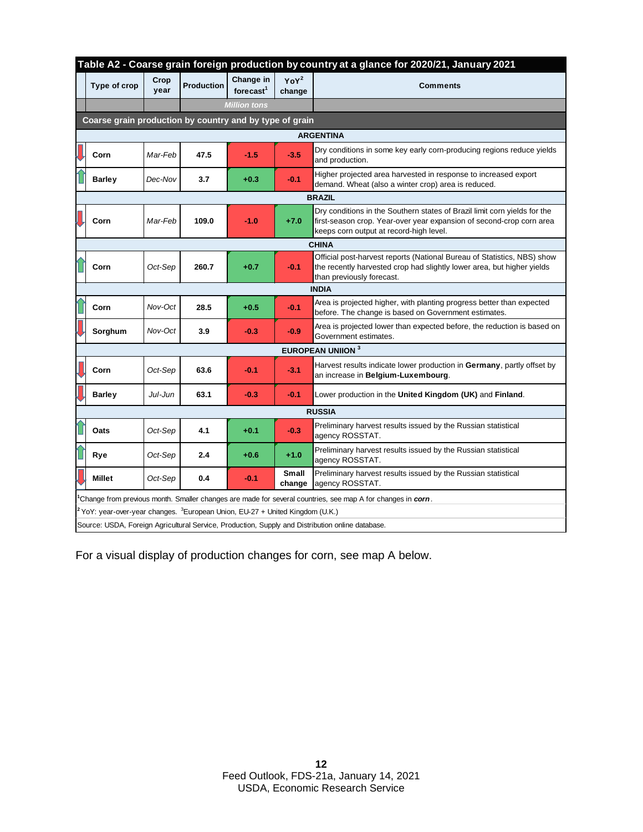|                                                         | Table A2 - Coarse grain foreign production by country at a glance for 2020/21, January 2021                |              |                   |                                    |                            |                                                                                                                                                                                              |  |  |  |  |
|---------------------------------------------------------|------------------------------------------------------------------------------------------------------------|--------------|-------------------|------------------------------------|----------------------------|----------------------------------------------------------------------------------------------------------------------------------------------------------------------------------------------|--|--|--|--|
|                                                         | Type of crop                                                                                               | Crop<br>year | <b>Production</b> | Change in<br>forecast <sup>1</sup> | YoY <sup>2</sup><br>change | <b>Comments</b>                                                                                                                                                                              |  |  |  |  |
|                                                         |                                                                                                            |              |                   | <b>Million tons</b>                |                            |                                                                                                                                                                                              |  |  |  |  |
| Coarse grain production by country and by type of grain |                                                                                                            |              |                   |                                    |                            |                                                                                                                                                                                              |  |  |  |  |
| <b>ARGENTINA</b>                                        |                                                                                                            |              |                   |                                    |                            |                                                                                                                                                                                              |  |  |  |  |
|                                                         | Corn                                                                                                       | Mar-Feb      | 47.5              | $-1.5$                             | $-3.5$                     | Dry conditions in some key early corn-producing regions reduce yields<br>and production.                                                                                                     |  |  |  |  |
|                                                         | <b>Barley</b>                                                                                              | Dec-Nov      | 3.7               | $+0.3$                             | $-0.1$                     | Higher projected area harvested in response to increased export<br>demand. Wheat (also a winter crop) area is reduced.                                                                       |  |  |  |  |
|                                                         | <b>BRAZIL</b>                                                                                              |              |                   |                                    |                            |                                                                                                                                                                                              |  |  |  |  |
|                                                         | Corn                                                                                                       | Mar-Feb      | 109.0             | $-1.0$                             | $+7.0$                     | Dry conditions in the Southern states of Brazil limit corn yields for the<br>first-season crop. Year-over year expansion of second-crop corn area<br>keeps corn output at record-high level. |  |  |  |  |
| <b>CHINA</b>                                            |                                                                                                            |              |                   |                                    |                            |                                                                                                                                                                                              |  |  |  |  |
|                                                         | Corn                                                                                                       | Oct-Sep      | 260.7             | $+0.7$                             | $-0.1$                     | Official post-harvest reports (National Bureau of Statistics, NBS) show<br>the recently harvested crop had slightly lower area, but higher yields<br>than previously forecast.               |  |  |  |  |
| <b>INDIA</b>                                            |                                                                                                            |              |                   |                                    |                            |                                                                                                                                                                                              |  |  |  |  |
|                                                         | Corn                                                                                                       | Nov-Oct      | 28.5              | $+0.5$                             | $-0.1$                     | Area is projected higher, with planting progress better than expected<br>before. The change is based on Government estimates.                                                                |  |  |  |  |
|                                                         | Sorghum                                                                                                    | Nov-Oct      | 3.9               | $-0.3$                             | $-0.9$                     | Area is projected lower than expected before, the reduction is based on<br>Government estimates.                                                                                             |  |  |  |  |
|                                                         | <b>EUROPEAN UNIION 3</b>                                                                                   |              |                   |                                    |                            |                                                                                                                                                                                              |  |  |  |  |
|                                                         | Corn                                                                                                       | Oct-Sep      | 63.6              | $-0.1$                             | $-3.1$                     | Harvest results indicate lower production in Germany, partly offset by<br>an increase in Belgium-Luxembourg.                                                                                 |  |  |  |  |
|                                                         | <b>Barley</b>                                                                                              | Jul-Jun      | 63.1              | $-0.3$                             | $-0.1$                     | Lower production in the United Kingdom (UK) and Finland.                                                                                                                                     |  |  |  |  |
|                                                         | <b>RUSSIA</b>                                                                                              |              |                   |                                    |                            |                                                                                                                                                                                              |  |  |  |  |
|                                                         | Oats                                                                                                       | Oct-Sep      | 4.1               | $+0.1$                             | $-0.3$                     | Preliminary harvest results issued by the Russian statistical<br>agency ROSSTAT.                                                                                                             |  |  |  |  |
|                                                         | Rye                                                                                                        | Oct-Sep      | 2.4               | $+0.6$                             | $+1.0$                     | Preliminary harvest results issued by the Russian statistical<br>agency ROSSTAT.                                                                                                             |  |  |  |  |
|                                                         | <b>Millet</b>                                                                                              | Oct-Sep      | 0.4               | $-0.1$                             | <b>Small</b><br>change     | Preliminary harvest results issued by the Russian statistical<br>agency ROSSTAT.                                                                                                             |  |  |  |  |
|                                                         | Change from previous month. Smaller changes are made for several countries, see map A for changes in corn. |              |                   |                                    |                            |                                                                                                                                                                                              |  |  |  |  |
|                                                         | <sup>2</sup> YoY: year-over-year changes. <sup>3</sup> European Union, EU-27 + United Kingdom (U.K.)       |              |                   |                                    |                            |                                                                                                                                                                                              |  |  |  |  |
|                                                         | Source: USDA, Foreign Agricultural Service, Production, Supply and Distribution online database.           |              |                   |                                    |                            |                                                                                                                                                                                              |  |  |  |  |

For a visual display of production changes for corn, see map A below.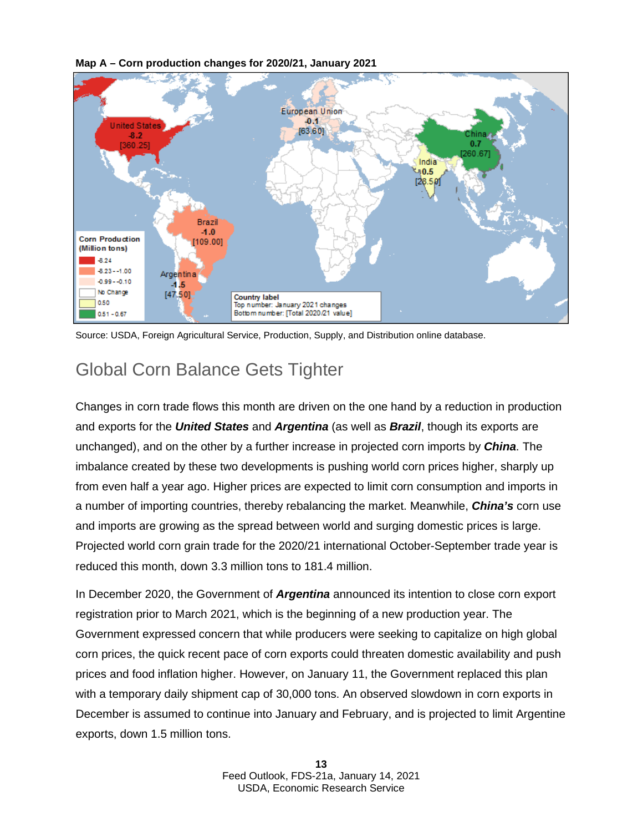### **Map A – Corn production changes for 2020/21, January 2021**



Source: USDA, Foreign Agricultural Service, Production, Supply, and Distribution online database.

## Global Corn Balance Gets Tighter

Changes in corn trade flows this month are driven on the one hand by a reduction in production and exports for the *United States* and *Argentina* (as well as *Brazil*, though its exports are unchanged), and on the other by a further increase in projected corn imports by *China*. The imbalance created by these two developments is pushing world corn prices higher, sharply up from even half a year ago. Higher prices are expected to limit corn consumption and imports in a number of importing countries, thereby rebalancing the market. Meanwhile, *China's* corn use and imports are growing as the spread between world and surging domestic prices is large. Projected world corn grain trade for the 2020/21 international October-September trade year is reduced this month, down 3.3 million tons to 181.4 million.

In December 2020, the Government of *Argentina* announced its intention to close corn export registration prior to March 2021, which is the beginning of a new production year. The Government expressed concern that while producers were seeking to capitalize on high global corn prices, the quick recent pace of corn exports could threaten domestic availability and push prices and food inflation higher. However, on January 11, the Government replaced this plan with a temporary daily shipment cap of 30,000 tons. An observed slowdown in corn exports in December is assumed to continue into January and February, and is projected to limit Argentine exports, down 1.5 million tons.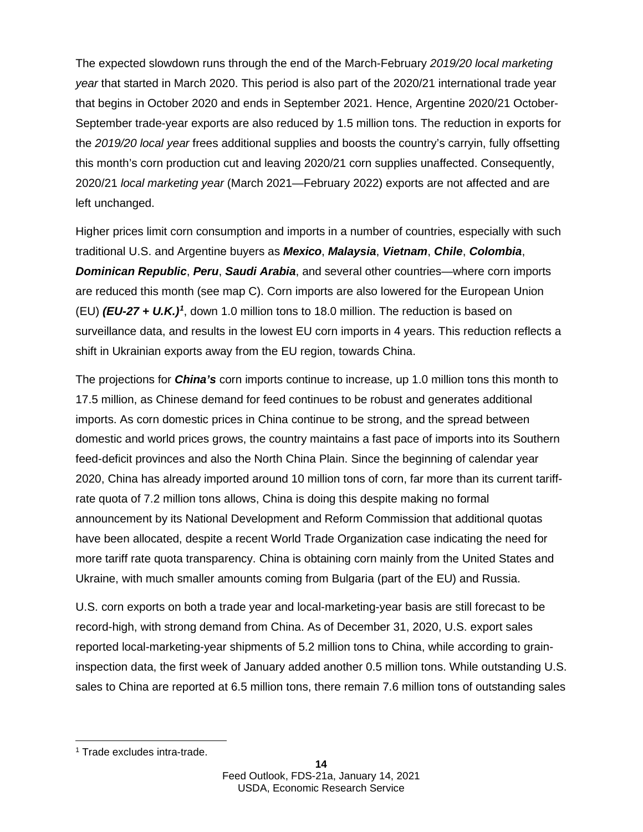The expected slowdown runs through the end of the March-February *2019/20 local marketing year* that started in March 2020. This period is also part of the 2020/21 international trade year that begins in October 2020 and ends in September 2021. Hence, Argentine 2020/21 October-September trade-year exports are also reduced by 1.5 million tons. The reduction in exports for the *2019/20 local year* frees additional supplies and boosts the country's carryin, fully offsetting this month's corn production cut and leaving 2020/21 corn supplies unaffected. Consequently, 2020/21 *local marketing year* (March 2021—February 2022) exports are not affected and are left unchanged.

<span id="page-13-1"></span>Higher prices limit corn consumption and imports in a number of countries, especially with such traditional U.S. and Argentine buyers as *Mexico*, *Malaysia*, *Vietnam*, *Chile*, *Colombia*, *Dominican Republic*, *Peru*, *Saudi Arabia*, and several other countries—where corn imports are reduced this month (see map C). Corn imports are also lowered for the European Union (EU) *(EU-27 + U.K.)[1](#page-13-0)* , down 1.0 million tons to 18.0 million. The reduction is based on surveillance data, and results in the lowest EU corn imports in 4 years. This reduction reflects a shift in Ukrainian exports away from the EU region, towards China.

The projections for *China's* corn imports continue to increase, up 1.0 million tons this month to 17.5 million, as Chinese demand for feed continues to be robust and generates additional imports. As corn domestic prices in China continue to be strong, and the spread between domestic and world prices grows, the country maintains a fast pace of imports into its Southern feed-deficit provinces and also the North China Plain. Since the beginning of calendar year 2020, China has already imported around 10 million tons of corn, far more than its current tariffrate quota of 7.2 million tons allows, China is doing this despite making no formal announcement by its National Development and Reform Commission that additional quotas have been allocated, despite a recent World Trade Organization case indicating the need for more tariff rate quota transparency. China is obtaining corn mainly from the United States and Ukraine, with much smaller amounts coming from Bulgaria (part of the EU) and Russia.

U.S. corn exports on both a trade year and local-marketing-year basis are still forecast to be record-high, with strong demand from China. As of December 31, 2020, U.S. export sales reported local-marketing-year shipments of 5.2 million tons to China, while according to graininspection data, the first week of January added another 0.5 million tons. While outstanding U.S. sales to China are reported at 6.5 million tons, there remain 7.6 million tons of outstanding sales

<span id="page-13-0"></span><sup>1</sup> Trade excludes intra-trade.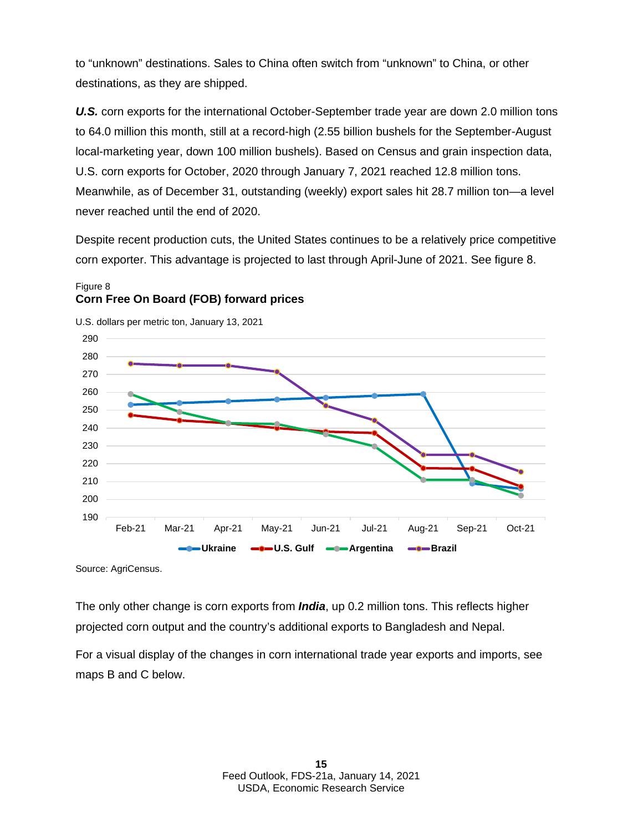to "unknown" destinations. Sales to China often switch from "unknown" to China, or other destinations, as they are shipped.

*U.S.* corn exports for the international October-September trade year are down 2.0 million tons to 64.0 million this month, still at a record-high (2.55 billion bushels for the September-August local-marketing year, down 100 million bushels). Based on Census and grain inspection data, U.S. corn exports for October, 2020 through January 7, 2021 reached 12.8 million tons. Meanwhile, as of December 31, outstanding (weekly) export sales hit 28.7 million ton—a level never reached until the end of 2020.

Despite recent production cuts, the United States continues to be a relatively price competitive corn exporter. This advantage is projected to last through April-June of 2021. See figure 8.

### Figure 8 **Corn Free On Board (FOB) forward prices**

190 200 210 220 230 240 250 260 270 280 290 Feb-21 Mar-21 Apr-21 May-21 Jun-21 Jul-21 Aug-21 Sep-21 Oct-21 **WARGER ARGENTING ARGENTING Argentina ARGENTING ARGENTING ARGENTING Brazil** 

U.S. dollars per metric ton, January 13, 2021

Source: AgriCensus.

The only other change is corn exports from *India*, up 0.2 million tons. This reflects higher projected corn output and the country's additional exports to Bangladesh and Nepal.

For a visual display of the changes in corn international trade year exports and imports, see maps B and C below.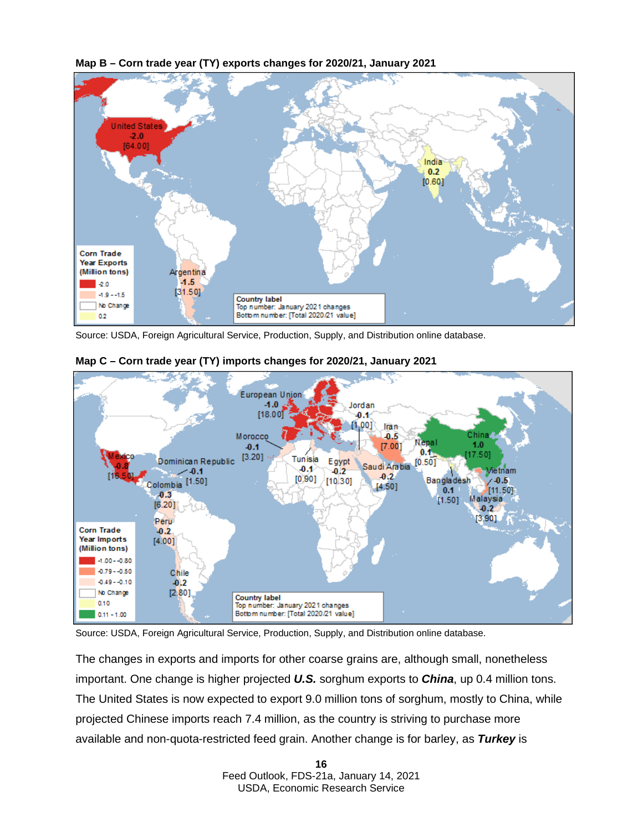



Source: USDA, Foreign Agricultural Service, Production, Supply, and Distribution online database.



### <span id="page-15-0"></span>**Map C – Corn trade year (TY) imports changes for 2020/21, January 2021**

Source: USDA, Foreign Agricultural Service, Production, Supply, and Distribution online database.

The changes in exports and imports for other coarse grains are, although small, nonetheless important. One change is higher projected *U.S.* sorghum exports to *China*, up 0.4 million tons. The United States is now expected to export 9.0 million tons of sorghum, mostly to China, while projected Chinese imports reach 7.4 million, as the country is striving to purchase more available and non-quota-restricted feed grain. Another change is for barley, as *Turkey* is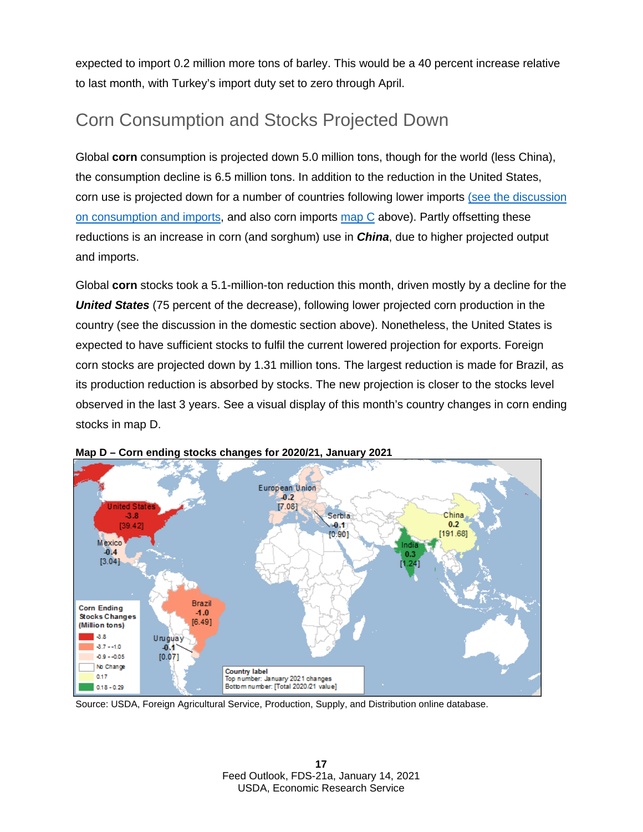expected to import 0.2 million more tons of barley. This would be a 40 percent increase relative to last month, with Turkey's import duty set to zero through April.

## Corn Consumption and Stocks Projected Down

Global **corn** consumption is projected down 5.0 million tons, though for the world (less China), the consumption decline is 6.5 million tons. In addition to the reduction in the United States, corn use is projected down for a number of countries following lower imports (see the [discussion](#page-13-1) [on consumption and imports,](#page-13-1) and also corn imports [map C](#page-15-0) above). Partly offsetting these reductions is an increase in corn (and sorghum) use in *China*, due to higher projected output and imports.

Global **corn** stocks took a 5.1-million-ton reduction this month, driven mostly by a decline for the *United States* (75 percent of the decrease), following lower projected corn production in the country (see the discussion in the domestic section above). Nonetheless, the United States is expected to have sufficient stocks to fulfil the current lowered projection for exports. Foreign corn stocks are projected down by 1.31 million tons. The largest reduction is made for Brazil, as its production reduction is absorbed by stocks. The new projection is closer to the stocks level observed in the last 3 years. See a visual display of this month's country changes in corn ending stocks in map D.



**Map D – Corn ending stocks changes for 2020/21, January 2021**

Source: USDA, Foreign Agricultural Service, Production, Supply, and Distribution online database.